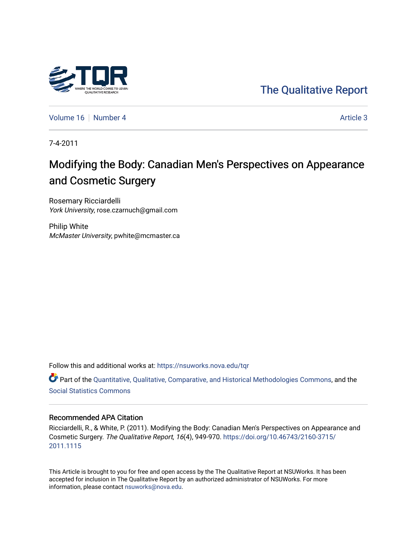# [The Qualitative Report](https://nsuworks.nova.edu/tqr)

[Volume 16](https://nsuworks.nova.edu/tqr/vol16) [Number 4](https://nsuworks.nova.edu/tqr/vol16/iss4) Article 3

7-4-2011

# Modifying the Body: Canadian Men's Perspectives on Appearance and Cosmetic Surgery

Rosemary Ricciardelli York University, rose.czarnuch@gmail.com

Philip White McMaster University, pwhite@mcmaster.ca

Follow this and additional works at: [https://nsuworks.nova.edu/tqr](https://nsuworks.nova.edu/tqr?utm_source=nsuworks.nova.edu%2Ftqr%2Fvol16%2Fiss4%2F3&utm_medium=PDF&utm_campaign=PDFCoverPages) 

Part of the [Quantitative, Qualitative, Comparative, and Historical Methodologies Commons,](http://network.bepress.com/hgg/discipline/423?utm_source=nsuworks.nova.edu%2Ftqr%2Fvol16%2Fiss4%2F3&utm_medium=PDF&utm_campaign=PDFCoverPages) and the [Social Statistics Commons](http://network.bepress.com/hgg/discipline/1275?utm_source=nsuworks.nova.edu%2Ftqr%2Fvol16%2Fiss4%2F3&utm_medium=PDF&utm_campaign=PDFCoverPages) 

## Recommended APA Citation

Ricciardelli, R., & White, P. (2011). Modifying the Body: Canadian Men's Perspectives on Appearance and Cosmetic Surgery. The Qualitative Report, 16(4), 949-970. [https://doi.org/10.46743/2160-3715/](https://doi.org/10.46743/2160-3715/2011.1115) [2011.1115](https://doi.org/10.46743/2160-3715/2011.1115) 

This Article is brought to you for free and open access by the The Qualitative Report at NSUWorks. It has been accepted for inclusion in The Qualitative Report by an authorized administrator of NSUWorks. For more information, please contact [nsuworks@nova.edu.](mailto:nsuworks@nova.edu)

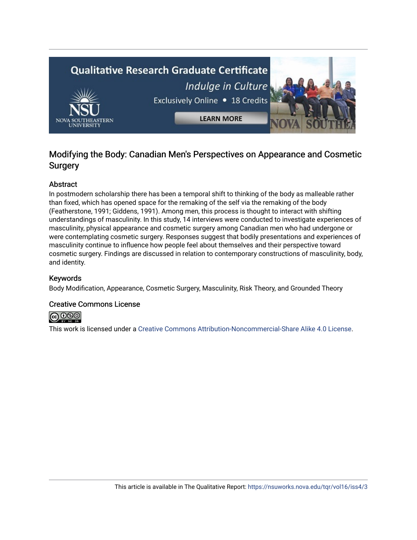

# Modifying the Body: Canadian Men's Perspectives on Appearance and Cosmetic **Surgery**

# Abstract

In postmodern scholarship there has been a temporal shift to thinking of the body as malleable rather than fixed, which has opened space for the remaking of the self via the remaking of the body (Featherstone, 1991; Giddens, 1991). Among men, this process is thought to interact with shifting understandings of masculinity. In this study, 14 interviews were conducted to investigate experiences of masculinity, physical appearance and cosmetic surgery among Canadian men who had undergone or were contemplating cosmetic surgery. Responses suggest that bodily presentations and experiences of masculinity continue to influence how people feel about themselves and their perspective toward cosmetic surgery. Findings are discussed in relation to contemporary constructions of masculinity, body, and identity.

# Keywords

Body Modification, Appearance, Cosmetic Surgery, Masculinity, Risk Theory, and Grounded Theory

# Creative Commons License



This work is licensed under a [Creative Commons Attribution-Noncommercial-Share Alike 4.0 License](https://creativecommons.org/licenses/by-nc-sa/4.0/).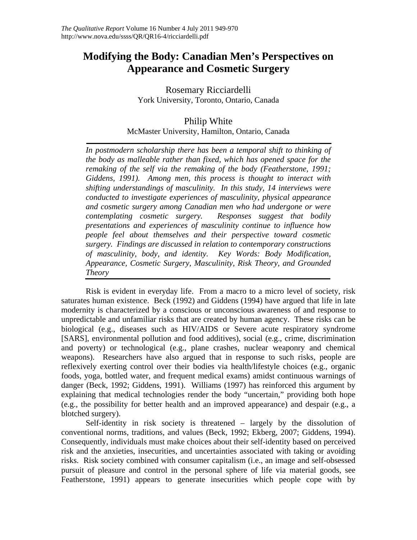# **Modifying the Body: Canadian Men's Perspectives on Appearance and Cosmetic Surgery**

Rosemary Ricciardelli York University, Toronto, Ontario, Canada

# Philip White

McMaster University, Hamilton, Ontario, Canada

In postmodern scholarship there has been a temporal shift to thinking of *the body as malleable rather than fixed, which has opened space for the remaking of the self via the remaking of the body (Featherstone, 1991; Giddens, 1991). Among men, this process is thought to interact with shifting understandings of masculinity. In this study, 14 interviews were conducted to investigate experiences of masculinity, physical appearance and cosmetic surgery among Canadian men who had undergone or were contemplating cosmetic surgery. Responses suggest that bodily presentations and experiences of masculinity continue to influence how people feel about themselves and their perspective toward cosmetic surgery. Findings are discussed in relation to contemporary constructions of masculinity, body, and identity. Key Words: Body Modification, Appearance, Cosmetic Surgery, Masculinity, Risk Theory, and Grounded Theory* 

Risk is evident in everyday life. From a macro to a micro level of society, risk saturates human existence. Beck (1992) and Giddens (1994) have argued that life in late modernity is characterized by a conscious or unconscious awareness of and response to unpredictable and unfamiliar risks that are created by human agency. These risks can be biological (e.g., diseases such as HIV/AIDS or Severe acute respiratory syndrome [SARS], environmental pollution and food additives), social (e.g., crime, discrimination and poverty) or technological (e.g., plane crashes, nuclear weaponry and chemical weapons). Researchers have also argued that in response to such risks, people are reflexively exerting control over their bodies via health/lifestyle choices (e.g., organic foods, yoga, bottled water, and frequent medical exams) amidst continuous warnings of danger (Beck, 1992; Giddens, 1991). Williams (1997) has reinforced this argument by explaining that medical technologies render the body "uncertain," providing both hope (e.g., the possibility for better health and an improved appearance) and despair (e.g., a blotched surgery).

Self-identity in risk society is threatened – largely by the dissolution of conventional norms, traditions, and values (Beck, 1992; Ekberg, 2007; Giddens, 1994). Consequently, individuals must make choices about their self-identity based on perceived risk and the anxieties, insecurities, and uncertainties associated with taking or avoiding risks. Risk society combined with consumer capitalism (i.e., an image and self-obsessed pursuit of pleasure and control in the personal sphere of life via material goods, see Featherstone, 1991) appears to generate insecurities which people cope with by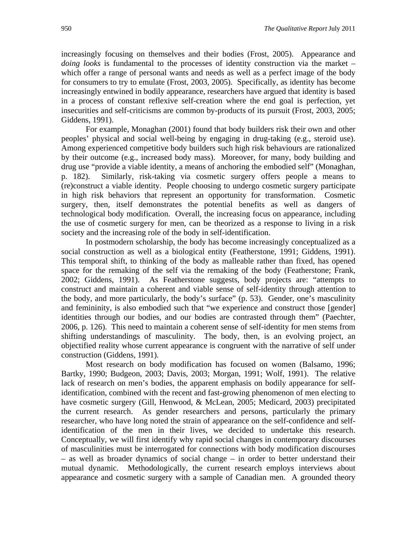increasingly focusing on themselves and their bodies (Frost, 2005). Appearance and *doing looks* is fundamental to the processes of identity construction via the market – which offer a range of personal wants and needs as well as a perfect image of the body for consumers to try to emulate (Frost, 2003, 2005). Specifically, as identity has become increasingly entwined in bodily appearance, researchers have argued that identity is based in a process of constant reflexive self-creation where the end goal is perfection, yet insecurities and self-criticisms are common by-products of its pursuit (Frost, 2003, 2005; Giddens, 1991).

For example, Monaghan (2001) found that body builders risk their own and other peoples' physical and social well-being by engaging in drug-taking (e.g., steroid use). Among experienced competitive body builders such high risk behaviours are rationalized by their outcome (e.g., increased body mass). Moreover, for many, body building and drug use "provide a viable identity, a means of anchoring the embodied self" (Monaghan, p. 182). Similarly, risk-taking via cosmetic surgery offers people a means to (re)construct a viable identity. People choosing to undergo cosmetic surgery participate in high risk behaviors that represent an opportunity for transformation. Cosmetic surgery, then, itself demonstrates the potential benefits as well as dangers of technological body modification. Overall, the increasing focus on appearance, including the use of cosmetic surgery for men, can be theorized as a response to living in a risk society and the increasing role of the body in self-identification.

In postmodern scholarship, the body has become increasingly conceptualized as a social construction as well as a biological entity (Featherstone, 1991; Giddens, 1991). This temporal shift, to thinking of the body as malleable rather than fixed, has opened space for the remaking of the self via the remaking of the body (Featherstone; Frank, 2002; Giddens, 1991). As Featherstone suggests, body projects are: "attempts to construct and maintain a coherent and viable sense of self-identity through attention to the body, and more particularly, the body's surface" (p. 53). Gender, one's masculinity and femininity, is also embodied such that "we experience and construct those [gender] identities through our bodies, and our bodies are contrasted through them" (Paechter, 2006, p. 126). This need to maintain a coherent sense of self-identity for men stems from shifting understandings of masculinity. The body, then, is an evolving project, an objectified reality whose current appearance is congruent with the narrative of self under construction (Giddens, 1991).

Most research on body modification has focused on women (Balsamo, 1996; Bartky, 1990; Budgeon, 2003; Davis, 2003; Morgan, 1991; Wolf, 1991). The relative lack of research on men's bodies, the apparent emphasis on bodily appearance for selfidentification, combined with the recent and fast-growing phenomenon of men electing to have cosmetic surgery (Gill, Henwood, & McLean, 2005; Medicard, 2003) precipitated the current research. As gender researchers and persons, particularly the primary researcher, who have long noted the strain of appearance on the self-confidence and selfidentification of the men in their lives, we decided to undertake this research. Conceptually, we will first identify why rapid social changes in contemporary discourses of masculinities must be interrogated for connections with body modification discourses – as well as broader dynamics of social change – in order to better understand their mutual dynamic. Methodologically, the current research employs interviews about appearance and cosmetic surgery with a sample of Canadian men. A grounded theory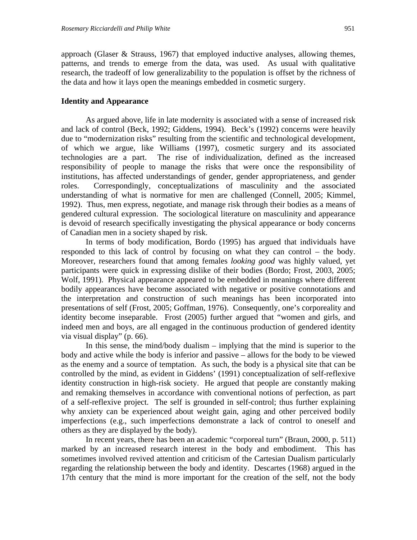approach (Glaser & Strauss, 1967) that employed inductive analyses, allowing themes, patterns, and trends to emerge from the data, was used. As usual with qualitative research, the tradeoff of low generalizability to the population is offset by the richness of the data and how it lays open the meanings embedded in cosmetic surgery.

# **Identity and Appearance**

As argued above, life in late modernity is associated with a sense of increased risk and lack of control (Beck, 1992; Giddens, 1994). Beck's (1992) concerns were heavily due to "modernization risks" resulting from the scientific and technological development, of which we argue, like Williams (1997), cosmetic surgery and its associated technologies are a part. The rise of individualization, defined as the increased responsibility of people to manage the risks that were once the responsibility of institutions, has affected understandings of gender, gender appropriateness, and gender roles. Correspondingly, conceptualizations of masculinity and the associated understanding of what is normative for men are challenged (Connell, 2005; Kimmel, 1992). Thus, men express, negotiate, and manage risk through their bodies as a means of gendered cultural expression. The sociological literature on masculinity and appearance is devoid of research specifically investigating the physical appearance or body concerns of Canadian men in a society shaped by risk.

In terms of body modification, Bordo (1995) has argued that individuals have responded to this lack of control by focusing on what they can control – the body. Moreover, researchers found that among females *looking good* was highly valued, yet participants were quick in expressing dislike of their bodies (Bordo; Frost, 2003, 2005; Wolf, 1991). Physical appearance appeared to be embedded in meanings where different bodily appearances have become associated with negative or positive connotations and the interpretation and construction of such meanings has been incorporated into presentations of self (Frost, 2005; Goffman, 1976). Consequently, one's corporeality and identity become inseparable. Frost (2005) further argued that "women and girls, and indeed men and boys, are all engaged in the continuous production of gendered identity via visual display" (p. 66).

In this sense, the mind/body dualism – implying that the mind is superior to the body and active while the body is inferior and passive – allows for the body to be viewed as the enemy and a source of temptation. As such, the body is a physical site that can be controlled by the mind, as evident in Giddens' (1991) conceptualization of self-reflexive identity construction in high-risk society. He argued that people are constantly making and remaking themselves in accordance with conventional notions of perfection, as part of a self-reflexive project. The self is grounded in self-control; thus further explaining why anxiety can be experienced about weight gain, aging and other perceived bodily imperfections (e.g., such imperfections demonstrate a lack of control to oneself and others as they are displayed by the body).

In recent years, there has been an academic "corporeal turn" (Braun, 2000, p. 511) marked by an increased research interest in the body and embodiment. This has sometimes involved revived attention and criticism of the Cartesian Dualism particularly regarding the relationship between the body and identity. Descartes (1968) argued in the 17th century that the mind is more important for the creation of the self, not the body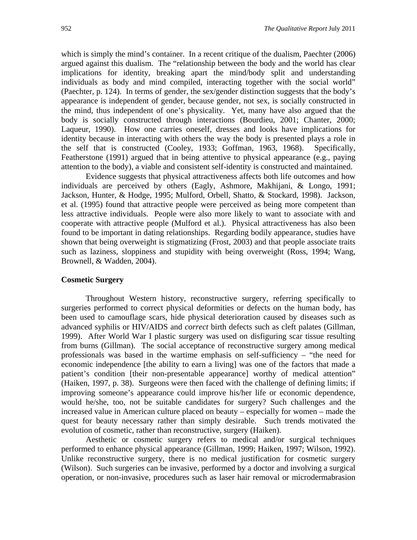which is simply the mind's container. In a recent critique of the dualism, Paechter (2006) argued against this dualism. The "relationship between the body and the world has clear implications for identity, breaking apart the mind/body split and understanding individuals as body and mind compiled, interacting together with the social world" (Paechter, p. 124). In terms of gender, the sex/gender distinction suggests that the body's appearance is independent of gender, because gender, not sex, is socially constructed in the mind, thus independent of one's physicality. Yet, many have also argued that the body is socially constructed through interactions (Bourdieu, 2001; Chanter, 2000; Laqueur, 1990). How one carries oneself, dresses and looks have implications for identity because in interacting with others the way the body is presented plays a role in the self that is constructed (Cooley, 1933; Goffman, 1963, 1968). Specifically, Featherstone (1991) argued that in being attentive to physical appearance (e.g., paying attention to the body), a viable and consistent self-identity is constructed and maintained.

Evidence suggests that physical attractiveness affects both life outcomes and how individuals are perceived by others (Eagly, Ashmore, Makhijani, & Longo, 1991; Jackson, Hunter, & Hodge, 1995; Mulford, Orbell, Shatto, & Stockard, 1998). Jackson, et al. (1995) found that attractive people were perceived as being more competent than less attractive individuals. People were also more likely to want to associate with and cooperate with attractive people (Mulford et al.). Physical attractiveness has also been found to be important in dating relationships. Regarding bodily appearance, studies have shown that being overweight is stigmatizing (Frost, 2003) and that people associate traits such as laziness, sloppiness and stupidity with being overweight (Ross, 1994; Wang, Brownell, & Wadden, 2004).

# **Cosmetic Surgery**

Throughout Western history, reconstructive surgery, referring specifically to surgeries performed to correct physical deformities or defects on the human body, has been used to camouflage scars, hide physical deterioration caused by diseases such as advanced syphilis or HIV/AIDS and *correct* birth defects such as cleft palates (Gillman, 1999). After World War I plastic surgery was used on disfiguring scar tissue resulting from burns (Gillman). The social acceptance of reconstructive surgery among medical professionals was based in the wartime emphasis on self-sufficiency – "the need for economic independence [the ability to earn a living] was one of the factors that made a patient's condition [their non-presentable appearance] worthy of medical attention" (Haiken, 1997, p. 38). Surgeons were then faced with the challenge of defining limits; if improving someone's appearance could improve his/her life or economic dependence, would he/she, too, not be suitable candidates for surgery? Such challenges and the increased value in American culture placed on beauty – especially for women – made the quest for beauty necessary rather than simply desirable. Such trends motivated the evolution of cosmetic, rather than reconstructive, surgery (Haiken).

Aesthetic or cosmetic surgery refers to medical and/or surgical techniques performed to enhance physical appearance (Gillman, 1999; Haiken, 1997; Wilson, 1992). Unlike reconstructive surgery, there is no medical justification for cosmetic surgery (Wilson). Such surgeries can be invasive, performed by a doctor and involving a surgical operation, or non-invasive, procedures such as laser hair removal or microdermabrasion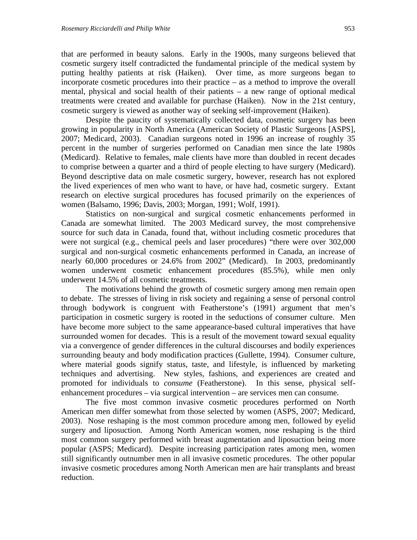that are performed in beauty salons. Early in the 1900s, many surgeons believed that cosmetic surgery itself contradicted the fundamental principle of the medical system by putting healthy patients at risk (Haiken). Over time, as more surgeons began to incorporate cosmetic procedures into their practice – as a method to improve the overall mental, physical and social health of their patients – a new range of optional medical treatments were created and available for purchase (Haiken). Now in the 21st century, cosmetic surgery is viewed as another way of seeking self-improvement (Haiken).

Despite the paucity of systematically collected data, cosmetic surgery has been growing in popularity in North America (American Society of Plastic Surgeons [ASPS], 2007; Medicard, 2003). Canadian surgeons noted in 1996 an increase of roughly 35 percent in the number of surgeries performed on Canadian men since the late 1980s (Medicard). Relative to females, male clients have more than doubled in recent decades to comprise between a quarter and a third of people electing to have surgery (Medicard). Beyond descriptive data on male cosmetic surgery, however, research has not explored the lived experiences of men who want to have, or have had, cosmetic surgery. Extant research on elective surgical procedures has focused primarily on the experiences of women (Balsamo, 1996; Davis, 2003; Morgan, 1991; Wolf, 1991).

Statistics on non-surgical and surgical cosmetic enhancements performed in Canada are somewhat limited. The 2003 Medicard survey, the most comprehensive source for such data in Canada, found that, without including cosmetic procedures that were not surgical (e.g., chemical peels and laser procedures) "there were over 302,000 surgical and non-surgical cosmetic enhancements performed in Canada, an increase of nearly 60,000 procedures or 24.6% from 2002" (Medicard). In 2003, predominantly women underwent cosmetic enhancement procedures (85.5%), while men only underwent 14.5% of all cosmetic treatments.

The motivations behind the growth of cosmetic surgery among men remain open to debate. The stresses of living in risk society and regaining a sense of personal control through bodywork is congruent with Featherstone's (1991) argument that men's participation in cosmetic surgery is rooted in the seductions of consumer culture. Men have become more subject to the same appearance-based cultural imperatives that have surrounded women for decades. This is a result of the movement toward sexual equality via a convergence of gender differences in the cultural discourses and bodily experiences surrounding beauty and body modification practices (Gullette, 1994). Consumer culture, where material goods signify status, taste, and lifestyle, is influenced by marketing techniques and advertising. New styles, fashions, and experiences are created and promoted for individuals to *consume* (Featherstone). In this sense, physical selfenhancement procedures – via surgical intervention – are services men can consume.

The five most common invasive cosmetic procedures performed on North American men differ somewhat from those selected by women (ASPS, 2007; Medicard, 2003). Nose reshaping is the most common procedure among men, followed by eyelid surgery and liposuction. Among North American women, nose reshaping is the third most common surgery performed with breast augmentation and liposuction being more popular (ASPS; Medicard). Despite increasing participation rates among men, women still significantly outnumber men in all invasive cosmetic procedures. The other popular invasive cosmetic procedures among North American men are hair transplants and breast reduction.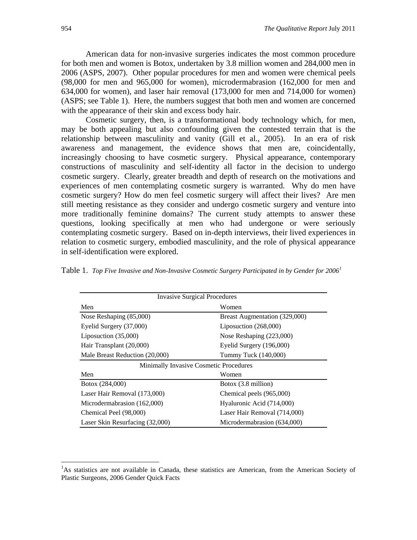American data for non-invasive surgeries indicates the most common procedure for both men and women is Botox, undertaken by 3.8 million women and 284,000 men in 2006 (ASPS, 2007). Other popular procedures for men and women were chemical peels (98,000 for men and 965,000 for women), microdermabrasion (162,000 for men and 634,000 for women), and laser hair removal (173,000 for men and 714,000 for women) (ASPS; see Table 1). Here, the numbers suggest that both men and women are concerned with the appearance of their skin and excess body hair.

Cosmetic surgery, then, is a transformational body technology which, for men, may be both appealing but also confounding given the contested terrain that is the relationship between masculinity and vanity (Gill et al., 2005). In an era of risk awareness and management, the evidence shows that men are, coincidentally, increasingly choosing to have cosmetic surgery. Physical appearance, contemporary constructions of masculinity and self-identity all factor in the decision to undergo cosmetic surgery. Clearly, greater breadth and depth of research on the motivations and experiences of men contemplating cosmetic surgery is warranted. Why do men have cosmetic surgery? How do men feel cosmetic surgery will affect their lives? Are men still meeting resistance as they consider and undergo cosmetic surgery and venture into more traditionally feminine domains? The current study attempts to answer these questions, looking specifically at men who had undergone or were seriously contemplating cosmetic surgery. Based on in-depth interviews, their lived experiences in relation to cosmetic surgery, embodied masculinity, and the role of physical appearance in self-identification were explored.

|  |  |  |  |  |  | Table 1. Top Five Invasive and Non-Invasive Cosmetic Surgery Participated in by Gender for 2006 <sup>1</sup> |
|--|--|--|--|--|--|--------------------------------------------------------------------------------------------------------------|
|--|--|--|--|--|--|--------------------------------------------------------------------------------------------------------------|

| <b>Invasive Surgical Procedures</b>    |                               |  |  |  |  |
|----------------------------------------|-------------------------------|--|--|--|--|
| Men                                    | Women                         |  |  |  |  |
| Nose Reshaping (85,000)                | Breast Augmentation (329,000) |  |  |  |  |
| Eyelid Surgery (37,000)                | Liposuction $(268,000)$       |  |  |  |  |
| Liposuction $(35,000)$                 | Nose Reshaping (223,000)      |  |  |  |  |
| Hair Transplant (20,000)               | Eyelid Surgery (196,000)      |  |  |  |  |
| Male Breast Reduction (20,000)         | Tummy Tuck (140,000)          |  |  |  |  |
| Minimally Invasive Cosmetic Procedures |                               |  |  |  |  |
| Men                                    | Women                         |  |  |  |  |
| Botox (284,000)                        | Botox (3.8 million)           |  |  |  |  |
| Laser Hair Removal (173,000)           | Chemical peels (965,000)      |  |  |  |  |
| Microdermabrasion (162,000)            | Hyaluronic Acid (714,000)     |  |  |  |  |
| Chemical Peel (98,000)                 | Laser Hair Removal (714,000)  |  |  |  |  |
| Laser Skin Resurfacing (32,000)        | Microdermabrasion (634,000)   |  |  |  |  |

 $\overline{a}$ 

<span id="page-7-0"></span><sup>&</sup>lt;sup>1</sup>As statistics are not available in Canada, these statistics are American, from the American Society of Plastic Surgeons, 2006 Gender Quick Facts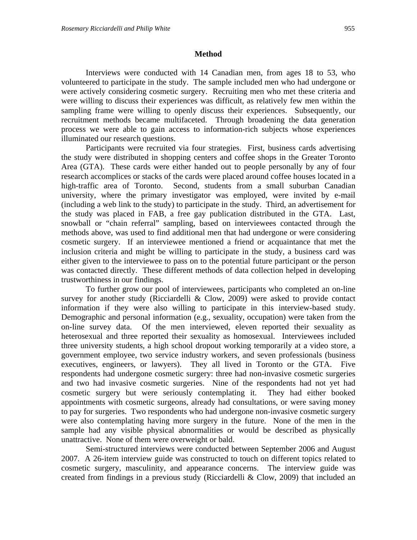### **Method**

Interviews were conducted with 14 Canadian men, from ages 18 to 53, who volunteered to participate in the study. The sample included men who had undergone or were actively considering cosmetic surgery. Recruiting men who met these criteria and were willing to discuss their experiences was difficult, as relatively few men within the sampling frame were willing to openly discuss their experiences. Subsequently, our recruitment methods became multifaceted. Through broadening the data generation process we were able to gain access to information-rich subjects whose experiences illuminated our research questions.

Participants were recruited via four strategies. First, business cards advertising the study were distributed in shopping centers and coffee shops in the Greater Toronto Area (GTA). These cards were either handed out to people personally by any of four research accomplices or stacks of the cards were placed around coffee houses located in a high-traffic area of Toronto. Second, students from a small suburban Canadian university, where the primary investigator was employed, were invited by e-mail (including a web link to the study) to participate in the study. Third, an advertisement for the study was placed in FAB, a free gay publication distributed in the GTA. Last, snowball or "chain referral" sampling, based on interviewees contacted through the methods above, was used to find additional men that had undergone or were considering cosmetic surgery. If an interviewee mentioned a friend or acquaintance that met the inclusion criteria and might be willing to participate in the study, a business card was either given to the interviewee to pass on to the potential future participant or the person was contacted directly. These different methods of data collection helped in developing trustworthiness in our findings.

To further grow our pool of interviewees, participants who completed an on-line survey for another study (Ricciardelli & Clow, 2009) were asked to provide contact information if they were also willing to participate in this interview-based study. Demographic and personal information (e.g., sexuality, occupation) were taken from the on-line survey data. Of the men interviewed, eleven reported their sexuality as heterosexual and three reported their sexuality as homosexual. Interviewees included three university students, a high school dropout working temporarily at a video store, a government employee, two service industry workers, and seven professionals (business executives, engineers, or lawyers). They all lived in Toronto or the GTA. Five respondents had undergone cosmetic surgery: three had non-invasive cosmetic surgeries and two had invasive cosmetic surgeries. Nine of the respondents had not yet had cosmetic surgery but were seriously contemplating it. They had either booked appointments with cosmetic surgeons, already had consultations, or were saving money to pay for surgeries. Two respondents who had undergone non-invasive cosmetic surgery were also contemplating having more surgery in the future. None of the men in the sample had any visible physical abnormalities or would be described as physically unattractive. None of them were overweight or bald.

Semi-structured interviews were conducted between September 2006 and August 2007. A 26-item interview guide was constructed to touch on different topics related to cosmetic surgery, masculinity, and appearance concerns. The interview guide was created from findings in a previous study (Ricciardelli & Clow, 2009) that included an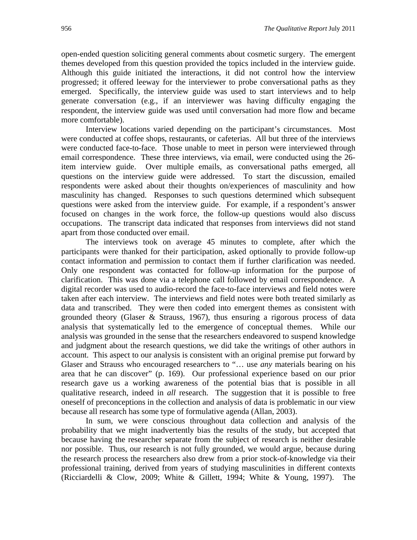open-ended question soliciting general comments about cosmetic surgery. The emergent themes developed from this question provided the topics included in the interview guide. Although this guide initiated the interactions, it did not control how the interview progressed; it offered leeway for the interviewer to probe conversational paths as they emerged. Specifically, the interview guide was used to start interviews and to help generate conversation (e.g., if an interviewer was having difficulty engaging the respondent, the interview guide was used until conversation had more flow and became more comfortable).

Interview locations varied depending on the participant's circumstances. Most were conducted at coffee shops, restaurants, or cafeterias.All but three of the interviews were conducted face-to-face. Those unable to meet in person were interviewed through email correspondence. These three interviews, via email, were conducted using the 26 item interview guide. Over multiple emails, as conversational paths emerged, all questions on the interview guide were addressed. To start the discussion, emailed respondents were asked about their thoughts on/experiences of masculinity and how masculinity has changed. Responses to such questions determined which subsequent questions were asked from the interview guide. For example, if a respondent's answer focused on changes in the work force, the follow-up questions would also discuss occupations. The transcript data indicated that responses from interviews did not stand apart from those conducted over email.

 The interviews took on average 45 minutes to complete, after which the participants were thanked for their participation, asked optionally to provide follow-up contact information and permission to contact them if further clarification was needed. Only one respondent was contacted for follow-up information for the purpose of clarification. This was done via a telephone call followed by email correspondence. A digital recorder was used to audio-record the face-to-face interviews and field notes were taken after each interview. The interviews and field notes were both treated similarly as data and transcribed. They were then coded into emergent themes as consistent with grounded theory (Glaser & Strauss, 1967), thus ensuring a rigorous process of data analysis that systematically led to the emergence of conceptual themes. While our analysis was grounded in the sense that the researchers endeavored to suspend knowledge and judgment about the research questions, we did take the writings of other authors in account. This aspect to our analysis is consistent with an original premise put forward by Glaser and Strauss who encouraged researchers to "… use *any* materials bearing on his area that he can discover" (p. 169). Our professional experience based on our prior research gave us a working awareness of the potential bias that is possible in all qualitative research, indeed in *all* research. The suggestion that it is possible to free oneself of preconceptions in the collection and analysis of data is problematic in our view because all research has some type of formulative agenda (Allan, 2003).

In sum, we were conscious throughout data collection and analysis of the probability that we might inadvertently bias the results of the study, but accepted that because having the researcher separate from the subject of research is neither desirable nor possible. Thus, our research is not fully grounded, we would argue, because during the research process the researchers also drew from a prior stock-of-knowledge via their professional training, derived from years of studying masculinities in different contexts (Ricciardelli & Clow, 2009; White & Gillett, 1994; White & Young, 1997). The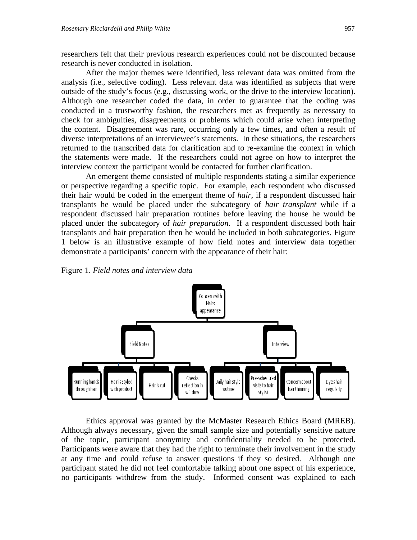researchers felt that their previous research experiences could not be discounted because research is never conducted in isolation.

After the major themes were identified, less relevant data was omitted from the analysis (i.e., selective coding). Less relevant data was identified as subjects that were outside of the study's focus (e.g., discussing work, or the drive to the interview location). Although one researcher coded the data, in order to guarantee that the coding was conducted in a trustworthy fashion, the researchers met as frequently as necessary to check for ambiguities, disagreements or problems which could arise when interpreting the content. Disagreement was rare, occurring only a few times, and often a result of diverse interpretations of an interviewee's statements. In these situations, the researchers returned to the transcribed data for clarification and to re-examine the context in which the statements were made. If the researchers could not agree on how to interpret the interview context the participant would be contacted for further clarification.

An emergent theme consisted of multiple respondents stating a similar experience or perspective regarding a specific topic. For example, each respondent who discussed their hair would be coded in the emergent theme of *hair*, if a respondent discussed hair transplants he would be placed under the subcategory of *hair transplant* while if a respondent discussed hair preparation routines before leaving the house he would be placed under the subcategory of *hair preparation*. If a respondent discussed both hair transplants and hair preparation then he would be included in both subcategories. Figure 1 below is an illustrative example of how field notes and interview data together demonstrate a participants' concern with the appearance of their hair:

Figure 1. *Field notes and interview data* 



Ethics approval was granted by the McMaster Research Ethics Board (MREB). Although always necessary, given the small sample size and potentially sensitive nature of the topic, participant anonymity and confidentiality needed to be protected. Participants were aware that they had the right to terminate their involvement in the study at any time and could refuse to answer questions if they so desired. Although one participant stated he did not feel comfortable talking about one aspect of his experience, no participants withdrew from the study. Informed consent was explained to each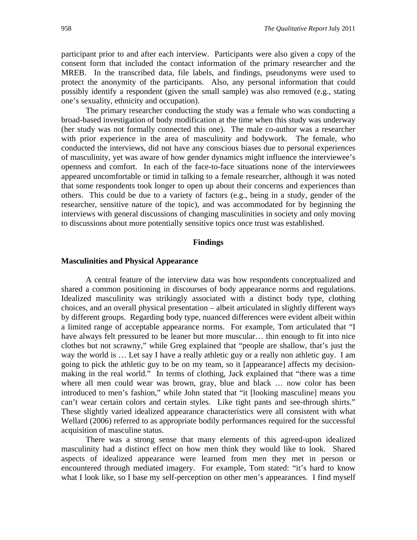participant prior to and after each interview. Participants were also given a copy of the consent form that included the contact information of the primary researcher and the MREB. In the transcribed data, file labels, and findings, pseudonyms were used to protect the anonymity of the participants. Also, any personal information that could possibly identify a respondent (given the small sample) was also removed (e.g., stating one's sexuality, ethnicity and occupation).

The primary researcher conducting the study was a female who was conducting a broad-based investigation of body modification at the time when this study was underway (her study was not formally connected this one). The male co-author was a researcher with prior experience in the area of masculinity and bodywork. The female, who conducted the interviews, did not have any conscious biases due to personal experiences of masculinity, yet was aware of how gender dynamics might influence the interviewee's openness and comfort. In each of the face-to-face situations none of the interviewees appeared uncomfortable or timid in talking to a female researcher, although it was noted that some respondents took longer to open up about their concerns and experiences than others. This could be due to a variety of factors (e.g., being in a study, gender of the researcher, sensitive nature of the topic), and was accommodated for by beginning the interviews with general discussions of changing masculinities in society and only moving to discussions about more potentially sensitive topics once trust was established.

### **Findings**

#### **Masculinities and Physical Appearance**

A central feature of the interview data was how respondents conceptualized and shared a common positioning in discourses of body appearance norms and regulations. Idealized masculinity was strikingly associated with a distinct body type, clothing choices, and an overall physical presentation – albeit articulated in slightly different ways by different groups. Regarding body type, nuanced differences were evident albeit within a limited range of acceptable appearance norms. For example, Tom articulated that "I have always felt pressured to be leaner but more muscular... thin enough to fit into nice clothes but not scrawny," while Greg explained that "people are shallow, that's just the way the world is … Let say I have a really athletic guy or a really non athletic guy. I am going to pick the athletic guy to be on my team, so it [appearance] affects my decisionmaking in the real world." In terms of clothing, Jack explained that "there was a time where all men could wear was brown, gray, blue and black … now color has been introduced to men's fashion," while John stated that "it [looking masculine] means you can't wear certain colors and certain styles. Like tight pants and see-through shirts." These slightly varied idealized appearance characteristics were all consistent with what Wellard (2006) referred to as appropriate bodily performances required for the successful acquisition of masculine status.

There was a strong sense that many elements of this agreed-upon idealized masculinity had a distinct effect on how men think they would like to look. Shared aspects of idealized appearance were learned from men they met in person or encountered through mediated imagery. For example, Tom stated: "it's hard to know what I look like, so I base my self-perception on other men's appearances. I find myself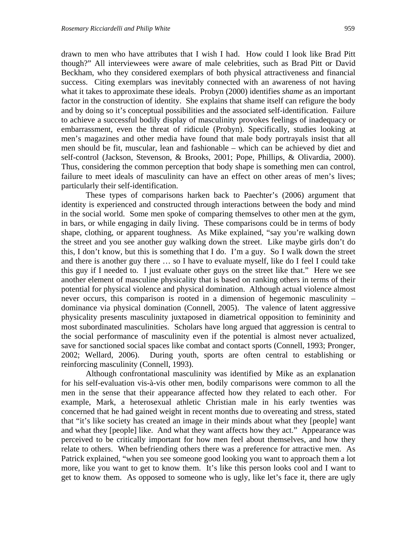drawn to men who have attributes that I wish I had. How could I look like Brad Pitt though?" All interviewees were aware of male celebrities, such as Brad Pitt or David Beckham, who they considered exemplars of both physical attractiveness and financial success. Citing exemplars was inevitably connected with an awareness of not having what it takes to approximate these ideals. Probyn (2000) identifies *shame* as an important factor in the construction of identity. She explains that shame itself can refigure the body and by doing so it's conceptual possibilities and the associated self-identification. Failure to achieve a successful bodily display of masculinity provokes feelings of inadequacy or embarrassment, even the threat of ridicule (Probyn). Specifically, studies looking at men's magazines and other media have found that male body portrayals insist that all men should be fit, muscular, lean and fashionable – which can be achieved by diet and self-control (Jackson, Stevenson, & Brooks, 2001; Pope, Phillips, & Olivardia, 2000). Thus, considering the common perception that body shape is something men can control, failure to meet ideals of masculinity can have an effect on other areas of men's lives; particularly their self-identification.

These types of comparisons harken back to Paechter's (2006) argument that identity is experienced and constructed through interactions between the body and mind in the social world. Some men spoke of comparing themselves to other men at the gym, in bars, or while engaging in daily living. These comparisons could be in terms of body shape, clothing, or apparent toughness. As Mike explained, "say you're walking down the street and you see another guy walking down the street. Like maybe girls don't do this, I don't know, but this is something that I do. I'm a guy. So I walk down the street and there is another guy there … so I have to evaluate myself, like do I feel I could take this guy if I needed to. I just evaluate other guys on the street like that." Here we see another element of masculine physicality that is based on ranking others in terms of their potential for physical violence and physical domination. Although actual violence almost never occurs, this comparison is rooted in a dimension of hegemonic masculinity – dominance via physical domination (Connell, 2005). The valence of latent aggressive physicality presents masculinity juxtaposed in diametrical opposition to femininity and most subordinated masculinities. Scholars have long argued that aggression is central to the social performance of masculinity even if the potential is almost never actualized, save for sanctioned social spaces like combat and contact sports (Connell, 1993; Pronger, 2002; Wellard, 2006). During youth, sports are often central to establishing or reinforcing masculinity (Connell, 1993).

Although confrontational masculinity was identified by Mike as an explanation for his self-evaluation vis-à-vis other men, bodily comparisons were common to all the men in the sense that their appearance affected how they related to each other. For example, Mark, a heterosexual athletic Christian male in his early twenties was concerned that he had gained weight in recent months due to overeating and stress, stated that "it's like society has created an image in their minds about what they [people] want and what they [people] like. And what they want affects how they act." Appearance was perceived to be critically important for how men feel about themselves, and how they relate to others. When befriending others there was a preference for attractive men. As Patrick explained, "when you see someone good looking you want to approach them a lot more, like you want to get to know them. It's like this person looks cool and I want to get to know them. As opposed to someone who is ugly, like let's face it, there are ugly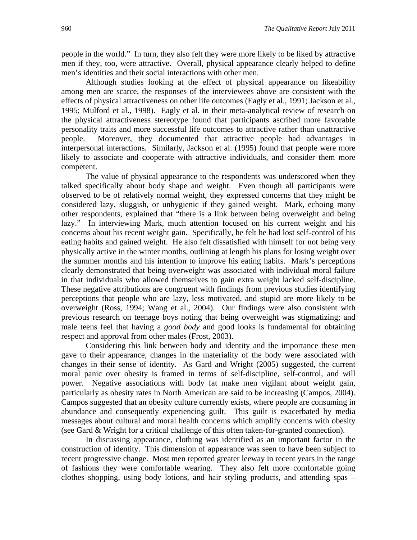people in the world." In turn, they also felt they were more likely to be liked by attractive men if they, too, were attractive. Overall, physical appearance clearly helped to define men's identities and their social interactions with other men.

Although studies looking at the effect of physical appearance on likeability among men are scarce, the responses of the interviewees above are consistent with the effects of physical attractiveness on other life outcomes (Eagly et al., 1991; Jackson et al., 1995; Mulford et al., 1998). Eagly et al. in their meta-analytical review of research on the physical attractiveness stereotype found that participants ascribed more favorable personality traits and more successful life outcomes to attractive rather than unattractive people. Moreover, they documented that attractive people had advantages in interpersonal interactions. Similarly, Jackson et al. (1995) found that people were more likely to associate and cooperate with attractive individuals, and consider them more competent.

The value of physical appearance to the respondents was underscored when they talked specifically about body shape and weight. Even though all participants were observed to be of relatively normal weight, they expressed concerns that they might be considered lazy, sluggish, or unhygienic if they gained weight. Mark, echoing many other respondents, explained that "there is a link between being overweight and being lazy." In interviewing Mark, much attention focused on his current weight and his concerns about his recent weight gain. Specifically, he felt he had lost self-control of his eating habits and gained weight. He also felt dissatisfied with himself for not being very physically active in the winter months, outlining at length his plans for losing weight over the summer months and his intention to improve his eating habits. Mark's perceptions clearly demonstrated that being overweight was associated with individual moral failure in that individuals who allowed themselves to gain extra weight lacked self-discipline. These negative attributions are congruent with findings from previous studies identifying perceptions that people who are lazy, less motivated, and stupid are more likely to be overweight (Ross, 1994; Wang et al., 2004). Our findings were also consistent with previous research on teenage boys noting that being overweight was stigmatizing; and male teens feel that having a *good body* and good looks is fundamental for obtaining respect and approval from other males (Frost, 2003).

Considering this link between body and identity and the importance these men gave to their appearance, changes in the materiality of the body were associated with changes in their sense of identity. As Gard and Wright (2005) suggested, the current moral panic over obesity is framed in terms of self-discipline, self-control, and will power. Negative associations with body fat make men vigilant about weight gain, particularly as obesity rates in North American are said to be increasing (Campos, 2004). Campos suggested that an obesity culture currently exists, where people are consuming in abundance and consequently experiencing guilt. This guilt is exacerbated by media messages about cultural and moral health concerns which amplify concerns with obesity (see Gard & Wright for a critical challenge of this often taken-for-granted connection).

In discussing appearance, clothing was identified as an important factor in the construction of identity. This dimension of appearance was seen to have been subject to recent progressive change. Most men reported greater leeway in recent years in the range of fashions they were comfortable wearing. They also felt more comfortable going clothes shopping, using body lotions, and hair styling products, and attending spas –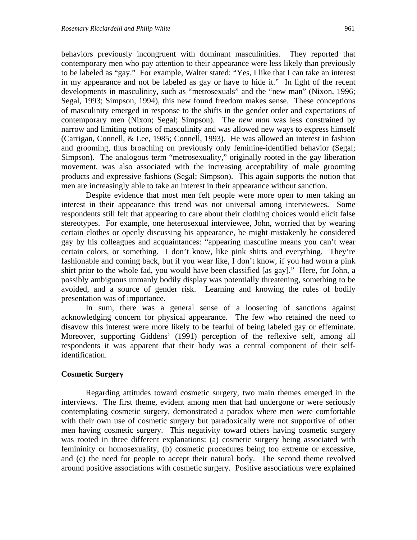behaviors previously incongruent with dominant masculinities. They reported that contemporary men who pay attention to their appearance were less likely than previously to be labeled as "gay." For example, Walter stated: "Yes, I like that I can take an interest in my appearance and not be labeled as gay or have to hide it." In light of the recent developments in masculinity, such as "metrosexuals" and the "new man" (Nixon, 1996; Segal, 1993; Simpson, 1994), this new found freedom makes sense. These conceptions of masculinity emerged in response to the shifts in the gender order and expectations of contemporary men (Nixon; Segal; Simpson). The *new man* was less constrained by narrow and limiting notions of masculinity and was allowed new ways to express himself (Carrigan, Connell, & Lee, 1985; Connell, 1993). He was allowed an interest in fashion and grooming, thus broaching on previously only feminine-identified behavior (Segal; Simpson). The analogous term "metrosexuality," originally rooted in the gay liberation movement, was also associated with the increasing acceptability of male grooming products and expressive fashions (Segal; Simpson). This again supports the notion that men are increasingly able to take an interest in their appearance without sanction.

Despite evidence that most men felt people were more open to men taking an interest in their appearance this trend was not universal among interviewees. Some respondents still felt that appearing to care about their clothing choices would elicit false stereotypes. For example, one heterosexual interviewee, John, worried that by wearing certain clothes or openly discussing his appearance, he might mistakenly be considered gay by his colleagues and acquaintances: "appearing masculine means you can't wear certain colors, or something. I don't know, like pink shirts and everything. They're fashionable and coming back, but if you wear like, I don't know, if you had worn a pink shirt prior to the whole fad, you would have been classified [as gay]." Here, for John, a possibly ambiguous unmanly bodily display was potentially threatening, something to be avoided, and a source of gender risk. Learning and knowing the rules of bodily presentation was of importance.

In sum, there was a general sense of a loosening of sanctions against acknowledging concern for physical appearance. The few who retained the need to disavow this interest were more likely to be fearful of being labeled gay or effeminate. Moreover, supporting Giddens' (1991) perception of the reflexive self, among all respondents it was apparent that their body was a central component of their selfidentification.

#### **Cosmetic Surgery**

Regarding attitudes toward cosmetic surgery, two main themes emerged in the interviews. The first theme, evident among men that had undergone or were seriously contemplating cosmetic surgery, demonstrated a paradox where men were comfortable with their own use of cosmetic surgery but paradoxically were not supportive of other men having cosmetic surgery. This negativity toward others having cosmetic surgery was rooted in three different explanations: (a) cosmetic surgery being associated with femininity or homosexuality, (b) cosmetic procedures being too extreme or excessive, and (c) the need for people to accept their natural body. The second theme revolved around positive associations with cosmetic surgery. Positive associations were explained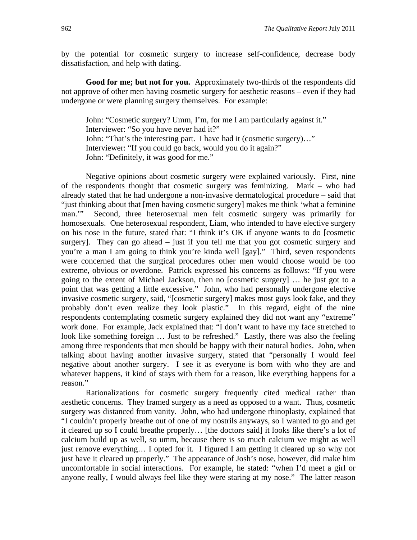by the potential for cosmetic surgery to increase self-confidence, decrease body dissatisfaction, and help with dating.

Good for me; but not for you. Approximately two-thirds of the respondents did not approve of other men having cosmetic surgery for aesthetic reasons – even if they had undergone or were planning surgery themselves. For example:

John: "Cosmetic surgery? Umm, I'm, for me I am particularly against it." Interviewer: "So you have never had it?" John: "That's the interesting part. I have had it (cosmetic surgery)…" Interviewer: "If you could go back, would you do it again?" John: "Definitely, it was good for me."

Negative opinions about cosmetic surgery were explained variously. First, nine of the respondents thought that cosmetic surgery was feminizing. Mark – who had already stated that he had undergone a non-invasive dermatological procedure – said that "just thinking about that [men having cosmetic surgery] makes me think 'what a feminine man.'" Second, three heterosexual men felt cosmetic surgery was primarily for homosexuals. One heterosexual respondent, Liam, who intended to have elective surgery on his nose in the future, stated that: "I think it's OK if anyone wants to do [cosmetic surgery]. They can go ahead – just if you tell me that you got cosmetic surgery and you're a man I am going to think you're kinda well [gay]." Third, seven respondents were concerned that the surgical procedures other men would choose would be too extreme, obvious or overdone. Patrick expressed his concerns as follows: "If you were going to the extent of Michael Jackson, then no [cosmetic surgery] … he just got to a point that was getting a little excessive." John, who had personally undergone elective invasive cosmetic surgery, said, "[cosmetic surgery] makes most guys look fake, and they probably don't even realize they look plastic." In this regard, eight of the nine respondents contemplating cosmetic surgery explained they did not want any "extreme" work done. For example, Jack explained that: "I don't want to have my face stretched to look like something foreign ... Just to be refreshed." Lastly, there was also the feeling among three respondents that men should be happy with their natural bodies. John, when talking about having another invasive surgery, stated that "personally I would feel negative about another surgery. I see it as everyone is born with who they are and whatever happens, it kind of stays with them for a reason, like everything happens for a reason."

Rationalizations for cosmetic surgery frequently cited medical rather than aesthetic concerns. They framed surgery as a need as opposed to a want. Thus, cosmetic surgery was distanced from vanity. John, who had undergone rhinoplasty, explained that "I couldn't properly breathe out of one of my nostrils anyways, so I wanted to go and get it cleared up so I could breathe properly… [the doctors said] it looks like there's a lot of calcium build up as well, so umm, because there is so much calcium we might as well just remove everything… I opted for it. I figured I am getting it cleared up so why not just have it cleared up properly." The appearance of Josh's nose, however, did make him uncomfortable in social interactions. For example, he stated: "when I'd meet a girl or anyone really, I would always feel like they were staring at my nose." The latter reason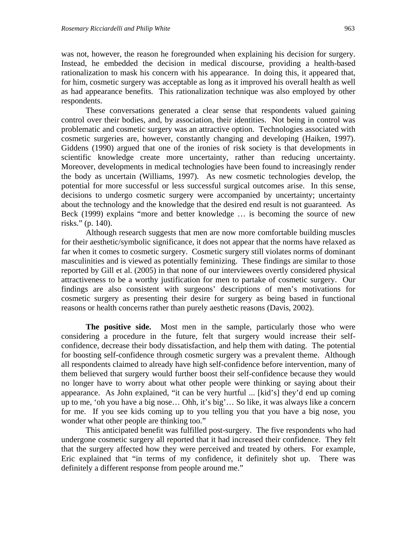was not, however, the reason he foregrounded when explaining his decision for surgery. Instead, he embedded the decision in medical discourse, providing a health-based rationalization to mask his concern with his appearance. In doing this, it appeared that, for him, cosmetic surgery was acceptable as long as it improved his overall health as well as had appearance benefits. This rationalization technique was also employed by other respondents.

These conversations generated a clear sense that respondents valued gaining control over their bodies, and, by association, their identities. Not being in control was problematic and cosmetic surgery was an attractive option. Technologies associated with cosmetic surgeries are, however, constantly changing and developing (Haiken, 1997). Giddens (1990) argued that one of the ironies of risk society is that developments in scientific knowledge create more uncertainty, rather than reducing uncertainty. Moreover, developments in medical technologies have been found to increasingly render the body as uncertain (Williams, 1997). As new cosmetic technologies develop, the potential for more successful or less successful surgical outcomes arise. In this sense, decisions to undergo cosmetic surgery were accompanied by uncertainty; uncertainty about the technology and the knowledge that the desired end result is not guaranteed. As Beck (1999) explains "more and better knowledge … is becoming the source of new risks." (p. 140).

Although research suggests that men are now more comfortable building muscles for their aesthetic/symbolic significance, it does not appear that the norms have relaxed as far when it comes to cosmetic surgery. Cosmetic surgery still violates norms of dominant masculinities and is viewed as potentially feminizing. These findings are similar to those reported by Gill et al. (2005) in that none of our interviewees overtly considered physical attractiveness to be a worthy justification for men to partake of cosmetic surgery. Our findings are also consistent with surgeons' descriptions of men's motivations for cosmetic surgery as presenting their desire for surgery as being based in functional reasons or health concerns rather than purely aesthetic reasons (Davis, 2002).

**The positive side.** Most men in the sample, particularly those who were considering a procedure in the future, felt that surgery would increase their selfconfidence, decrease their body dissatisfaction, and help them with dating. The potential for boosting self-confidence through cosmetic surgery was a prevalent theme. Although all respondents claimed to already have high self-confidence before intervention, many of them believed that surgery would further boost their self-confidence because they would no longer have to worry about what other people were thinking or saying about their appearance. As John explained, "it can be very hurtful ... [kid's] they'd end up coming up to me, 'oh you have a big nose… Ohh, it's big'… So like, it was always like a concern for me. If you see kids coming up to you telling you that you have a big nose, you wonder what other people are thinking too."

This anticipated benefit was fulfilled post-surgery. The five respondents who had undergone cosmetic surgery all reported that it had increased their confidence. They felt that the surgery affected how they were perceived and treated by others. For example, Eric explained that "in terms of my confidence, it definitely shot up. There was definitely a different response from people around me."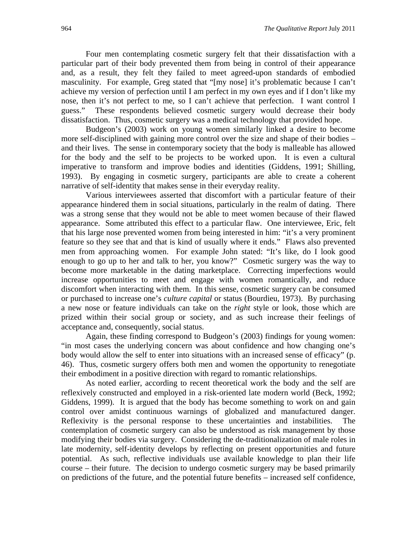Four men contemplating cosmetic surgery felt that their dissatisfaction with a particular part of their body prevented them from being in control of their appearance and, as a result, they felt they failed to meet agreed-upon standards of embodied masculinity. For example, Greg stated that "[my nose] it's problematic because I can't achieve my version of perfection until I am perfect in my own eyes and if I don't like my nose, then it's not perfect to me, so I can't achieve that perfection. I want control I guess." These respondents believed cosmetic surgery would decrease their body dissatisfaction. Thus, cosmetic surgery was a medical technology that provided hope.

Budgeon's (2003) work on young women similarly linked a desire to become more self-disciplined with gaining more control over the size and shape of their bodies – and their lives. The sense in contemporary society that the body is malleable has allowed for the body and the self to be projects to be worked upon. It is even a cultural imperative to transform and improve bodies and identities (Giddens, 1991; Shilling, 1993). By engaging in cosmetic surgery, participants are able to create a coherent narrative of self-identity that makes sense in their everyday reality.

Various interviewees asserted that discomfort with a particular feature of their appearance hindered them in social situations, particularly in the realm of dating. There was a strong sense that they would not be able to meet women because of their flawed appearance. Some attributed this effect to a particular flaw. One interviewee, Eric, felt that his large nose prevented women from being interested in him: "it's a very prominent feature so they see that and that is kind of usually where it ends." Flaws also prevented men from approaching women. For example John stated: "It's like, do I look good enough to go up to her and talk to her, you know?" Cosmetic surgery was the way to become more marketable in the dating marketplace. Correcting imperfections would increase opportunities to meet and engage with women romantically, and reduce discomfort when interacting with them. In this sense, cosmetic surgery can be consumed or purchased to increase one's *culture capital* or status (Bourdieu, 1973). By purchasing a new nose or feature individuals can take on the *right* style or look, those which are prized within their social group or society, and as such increase their feelings of acceptance and, consequently, social status.

Again, these finding correspond to Budgeon's (2003) findings for young women: "in most cases the underlying concern was about confidence and how changing one's body would allow the self to enter into situations with an increased sense of efficacy" (p. 46). Thus, cosmetic surgery offers both men and women the opportunity to renegotiate their embodiment in a positive direction with regard to romantic relationships.

As noted earlier, according to recent theoretical work the body and the self are reflexively constructed and employed in a risk-oriented late modern world (Beck, 1992; Giddens, 1999). It is argued that the body has become something to work on and gain control over amidst continuous warnings of globalized and manufactured danger. Reflexivity is the personal response to these uncertainties and instabilities. The contemplation of cosmetic surgery can also be understood as risk management by those modifying their bodies via surgery. Considering the de-traditionalization of male roles in late modernity, self-identity develops by reflecting on present opportunities and future potential. As such, reflective individuals use available knowledge to plan their life course – their future. The decision to undergo cosmetic surgery may be based primarily on predictions of the future, and the potential future benefits – increased self confidence,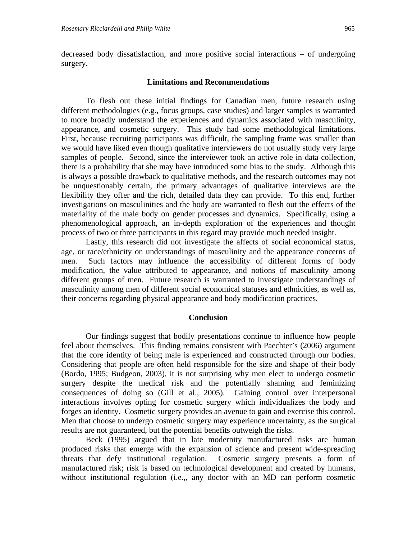decreased body dissatisfaction, and more positive social interactions – of undergoing surgery.

#### **Limitations and Recommendations**

To flesh out these initial findings for Canadian men, future research using different methodologies (e.g., focus groups, case studies) and larger samples is warranted to more broadly understand the experiences and dynamics associated with masculinity, appearance, and cosmetic surgery. This study had some methodological limitations. First, because recruiting participants was difficult, the sampling frame was smaller than we would have liked even though qualitative interviewers do not usually study very large samples of people. Second, since the interviewer took an active role in data collection, there is a probability that she may have introduced some bias to the study. Although this is always a possible drawback to qualitative methods, and the research outcomes may not be unquestionably certain, the primary advantages of qualitative interviews are the flexibility they offer and the rich, detailed data they can provide. To this end, further investigations on masculinities and the body are warranted to flesh out the effects of the materiality of the male body on gender processes and dynamics. Specifically, using a phenomenological approach, an in-depth exploration of the experiences and thought process of two or three participants in this regard may provide much needed insight.

Lastly, this research did not investigate the affects of social economical status, age, or race/ethnicity on understandings of masculinity and the appearance concerns of men. Such factors may influence the accessibility of different forms of body modification, the value attributed to appearance, and notions of masculinity among different groups of men. Future research is warranted to investigate understandings of masculinity among men of different social economical statuses and ethnicities, as well as, their concerns regarding physical appearance and body modification practices.

#### **Conclusion**

Our findings suggest that bodily presentations continue to influence how people feel about themselves. This finding remains consistent with Paechter's (2006) argument that the core identity of being male is experienced and constructed through our bodies. Considering that people are often held responsible for the size and shape of their body (Bordo, 1995; Budgeon, 2003), it is not surprising why men elect to undergo cosmetic surgery despite the medical risk and the potentially shaming and feminizing consequences of doing so (Gill et al., 2005). Gaining control over interpersonal interactions involves opting for cosmetic surgery which individualizes the body and forges an identity. Cosmetic surgery provides an avenue to gain and exercise this control. Men that choose to undergo cosmetic surgery may experience uncertainty, as the surgical results are not guaranteed, but the potential benefits outweigh the risks.

Beck (1995) argued that in late modernity manufactured risks are human produced risks that emerge with the expansion of science and present wide-spreading threats that defy institutional regulation. Cosmetic surgery presents a form of manufactured risk; risk is based on technological development and created by humans, without institutional regulation (i.e.,, any doctor with an MD can perform cosmetic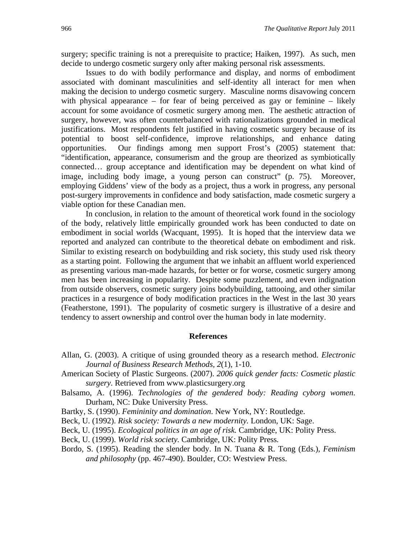surgery; specific training is not a prerequisite to practice; Haiken, 1997). As such, men decide to undergo cosmetic surgery only after making personal risk assessments.

Issues to do with bodily performance and display, and norms of embodiment associated with dominant masculinities and self-identity all interact for men when making the decision to undergo cosmetic surgery. Masculine norms disavowing concern with physical appearance – for fear of being perceived as gay or feminine – likely account for some avoidance of cosmetic surgery among men. The aesthetic attraction of surgery, however, was often counterbalanced with rationalizations grounded in medical justifications. Most respondents felt justified in having cosmetic surgery because of its potential to boost self-confidence, improve relationships, and enhance dating opportunities. Our findings among men support Frost's (2005) statement that: "identification, appearance, consumerism and the group are theorized as symbiotically connected… group acceptance and identification may be dependent on what kind of image, including body image, a young person can construct" (p. 75). Moreover, employing Giddens' view of the body as a project, thus a work in progress, any personal post-surgery improvements in confidence and body satisfaction, made cosmetic surgery a viable option for these Canadian men.

In conclusion, in relation to the amount of theoretical work found in the sociology of the body, relatively little empirically grounded work has been conducted to date on embodiment in social worlds (Wacquant, 1995). It is hoped that the interview data we reported and analyzed can contribute to the theoretical debate on embodiment and risk. Similar to existing research on bodybuilding and risk society, this study used risk theory as a starting point. Following the argument that we inhabit an affluent world experienced as presenting various man-made hazards, for better or for worse, cosmetic surgery among men has been increasing in popularity. Despite some puzzlement, and even indignation from outside observers, cosmetic surgery joins bodybuilding, tattooing, and other similar practices in a resurgence of body modification practices in the West in the last 30 years (Featherstone, 1991). The popularity of cosmetic surgery is illustrative of a desire and tendency to assert ownership and control over the human body in late modernity.

#### **References**

- Allan, G. (2003). A critique of using grounded theory as a research method. *Electronic Journal of Business Research Methods, 2*(1), 1-10.
- American Society of Plastic Surgeons. (2007). *2006 quick gender facts: Cosmetic plastic surgery*. Retrieved from www.plasticsurgery.org
- Balsamo, A. (1996). *Technologies of the gendered body: Reading cyborg women*. Durham, NC: Duke University Press.
- Bartky, S. (1990). *Femininity and domination*. New York, NY: Routledge.
- Beck, U. (1992). *Risk society: Towards a new modernity.* London, UK: Sage.
- Beck, U. (1995). *Ecological politics in an age of risk.* Cambridge, UK: Polity Press.
- Beck, U. (1999). *World risk society.* Cambridge, UK: Polity Press*.*
- Bordo, S. (1995). Reading the slender body. In N. Tuana & R. Tong (Eds.), *Feminism and philosophy* (pp. 467-490). Boulder, CO: Westview Press.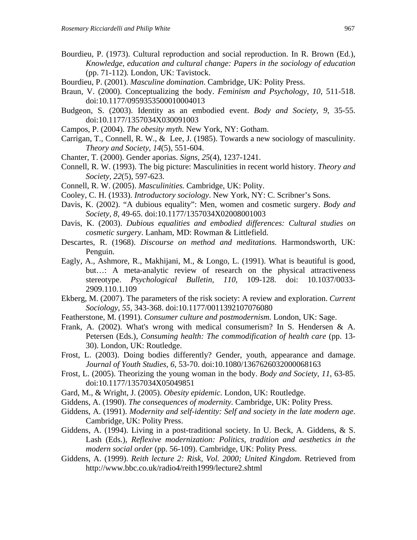- Bourdieu, P. (1973). Cultural reproduction and social reproduction. In R. Brown (Ed.), *Knowledge, education and cultural change: Papers in the sociology of education*  (pp. 71-112)*.* London, UK: Tavistock.
- Bourdieu, P. (2001). *Masculine domination*. Cambridge, UK: Polity Press.
- Braun, V. (2000). Conceptualizing the body. *Feminism and Psychology, 10*, 511-518. doi:10.1177/0959353500010004013
- Budgeon, S. (2003). Identity as an embodied event. *Body and Society, 9*, 35-55. doi:10.1177/1357034X030091003
- Campos, P. (2004). *The obesity myth.* New York, NY: Gotham.
- Carrigan, T., Connell, R. W., & Lee, J. (1985). Towards a new sociology of masculinity. *Theory and Society, 14*(5), 551-604.
- Chanter, T. (2000). Gender aporias. *Signs, 25*(4), 1237-1241.
- Connell, R. W. (1993). The big picture: Masculinities in recent world history. *Theory and Society, 22*(5), 597-623.
- Connell, R. W. (2005). *Masculinities.* Cambridge, UK: Polity.
- Cooley, C. H. (1933). *Introductory sociology*. New York, NY: C. Scribner's Sons.
- Davis, K. (2002). "A dubious equality": Men, women and cosmetic surgery. *Body and Society, 8*, 49-65. doi:10.1177/1357034X02008001003
- Davis, K. (2003). *Dubious equalities and embodied differences: Cultural studies on cosmetic surgery*. Lanham, MD: Rowman & Littlefield.
- Descartes, R. (1968). *Discourse on method and meditations.* Harmondsworth, UK: Penguin.
- Eagly, A., Ashmore, R., Makhijani, M., & Longo, L. (1991). What is beautiful is good, but…: A meta-analytic review of research on the physical attractiveness stereotype. *Psychological Bulletin, 110*, 109-128. doi: 10.1037/0033- 2909.110.1.109
- Ekberg, M. (2007). The parameters of the risk society: A review and exploration. *Current Sociology, 55*, 343-368. doi:10.1177/0011392107076080
- Featherstone, M. (1991). *Consumer culture and postmodernism.* London, UK: Sage.
- Frank, A. (2002). What's wrong with medical consumerism? In S. Hendersen & A. Petersen (Eds.), *Consuming health: The commodification of health care* (pp. 13- 30). London, UK: Routledge.
- Frost, L. (2003). Doing bodies differently? Gender, youth, appearance and damage. *Journal of Youth Studies, 6*, 53-70. doi:10.1080/1367626032000068163
- Frost, L. (2005). Theorizing the young woman in the body. *Body and Society, 11*, 63-85. doi:10.1177/1357034X05049851
- Gard, M., & Wright, J. (2005). *Obesity epidemic.* London, UK: Routledge.
- Giddens, A. (1990). *The consequences of modernity.* Cambridge, UK: Polity Press.
- Giddens, A. (1991). *Modernity and self-identity: Self and society in the late modern age*. Cambridge, UK: Polity Press.
- Giddens, A. (1994). Living in a post-traditional society. In U. Beck, A. Giddens, & S. Lash (Eds.), *Reflexive modernization: Politics, tradition and aesthetics in the modern social order* (pp. 56-109). Cambridge, UK: Polity Press.
- Giddens, A. (1999). *Reith lecture 2: Risk, Vol. 2000; United Kingdom*. Retrieved from http://www.bbc.co.uk/radio4/reith1999/lecture2.shtml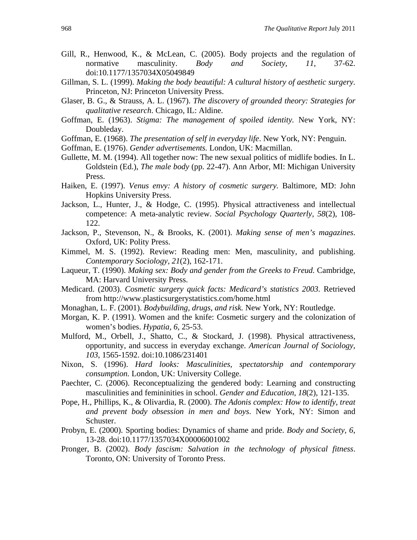- Gill, R., Henwood, K., & McLean, C. (2005). Body projects and the regulation of normative masculinity. *Body and Society, 11*, 37-62. doi:10.1177/1357034X05049849
- Gillman, S. L. (1999). *Making the body beautiful: A cultural history of aesthetic surgery.* Princeton, NJ: Princeton University Press.
- Glaser, B. G., & Strauss, A. L. (1967). *The discovery of grounded theory: Strategies for qualitative research*. Chicago, IL: Aldine.
- Goffman, E. (1963). *Stigma: The management of spoiled identity.* New York, NY: Doubleday.
- Goffman, E. (1968). *The presentation of self in everyday life*. New York, NY: Penguin.
- Goffman, E. (1976). *Gender advertisements.* London, UK: Macmillan.
- Gullette, M. M. (1994). All together now: The new sexual politics of midlife bodies. In L. Goldstein (Ed.), *The male body* (pp. 22-47). Ann Arbor, MI: Michigan University Press.
- Haiken, E. (1997). *Venus envy: A history of cosmetic surgery.* Baltimore, MD: John Hopkins University Press.
- Jackson, L., Hunter, J., & Hodge, C. (1995). Physical attractiveness and intellectual competence: A meta-analytic review. *Social Psychology Quarterly, 58*(2), 108- 122.
- Jackson, P., Stevenson, N., & Brooks, K. (2001). *Making sense of men's magazines*. Oxford, UK: Polity Press.
- Kimmel, M. S. (1992). Review: Reading men: Men, masculinity, and publishing. *Contemporary Sociology, 21*(2), 162-171.
- Laqueur, T. (1990). *Making sex: Body and gender from the Greeks to Freud.* Cambridge, MA: Harvard University Press.
- Medicard. (2003). *Cosmetic surgery quick facts: Medicard's statistics 2003.* Retrieved from http://www.plasticsurgerystatistics.com/home.html
- Monaghan, L. F. (2001). *Bodybuilding, drugs, and risk.* New York, NY: Routledge.
- Morgan, K. P. (1991). Women and the knife: Cosmetic surgery and the colonization of women's bodies. *Hypatia, 6*, 25-53.
- Mulford, M., Orbell, J., Shatto, C., & Stockard, J. (1998). Physical attractiveness, opportunity, and success in everyday exchange. *American Journal of Sociology, 103*, 1565-1592. doi:10.1086/231401
- Nixon, S. (1996). *Hard looks: Masculinities, spectatorship and contemporary consumption.* London, UK: University College.
- Paechter, C. (2006). Reconceptualizing the gendered body: Learning and constructing masculinities and femininities in school. *Gender and Education, 18*(2), 121-135.
- Pope, H., Phillips, K., & Olivardia, R. (2000). *The Adonis complex: How to identify, treat and prevent body obsession in men and boys*. New York, NY: Simon and Schuster.
- Probyn, E. (2000). Sporting bodies: Dynamics of shame and pride. *Body and Society, 6*, 13-28. doi:10.1177/1357034X00006001002
- Pronger, B. (2002). *Body fascism: Salvation in the technology of physical fitness*. Toronto, ON: University of Toronto Press.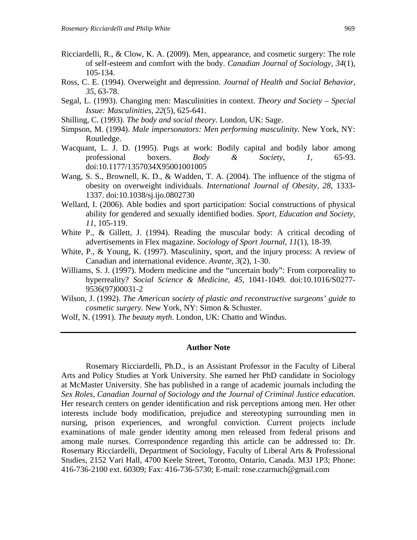- Ricciardelli, R., & Clow, K. A. (2009). Men, appearance, and cosmetic surgery: The role of self-esteem and comfort with the body. *Canadian Journal of Sociology, 34*(1), 105-134.
- Ross, C. E. (1994). Overweight and depression. *Journal of Health and Social Behavior, 35*, 63-78.
- Segal, L. (1993). Changing men: Masculinities in context. *Theory and Society Special Issue: Masculinities, 22*(5), 625-641.
- Shilling, C. (1993). *The body and social theory.* London, UK: Sage.
- Simpson, M. (1994). *Male impersonators: Men performing masculinity.* New York, NY: Routledge.
- Wacquant, L. J. D. (1995). Pugs at work: Bodily capital and bodily labor among professional boxers. *Body & Society*, *1*, 65-93. doi:10.1177/1357034X95001001005
- Wang, S. S., Brownell, K. D., & Wadden, T. A. (2004). The influence of the stigma of obesity on overweight individuals. *International Journal of Obesity, 28*, 1333- 1337. doi:10.1038/sj.ijo.0802730
- Wellard, I. (2006). Able bodies and sport participation: Social constructions of physical ability for gendered and sexually identified bodies. *Sport, Education and Society, 11*, 105-119.
- White P., & Gillett, J. (1994). Reading the muscular body: A critical decoding of advertisements in Flex magazine. *Sociology of Sport Journal, 11*(1), 18-39.
- White, P., & Young, K. (1997). Masculinity, sport, and the injury process: A review of Canadian and international evidence. *Avante, 3*(2), 1-30.
- Williams, S. J. (1997). Modern medicine and the "uncertain body": From corporeality to hyperreality? *Social Science & Medicine, 45*, 1041-1049. doi:10.1016/S0277- 9536(97)00031-2
- Wilson, J. (1992). *The American society of plastic and reconstructive surgeons' guide to cosmetic surgery.* New York, NY: Simon & Schuster.
- Wolf, N. (1991). *The beauty myth*. London, UK: Chatto and Windus.

#### **Author Note**

Rosemary Ricciardelli, Ph.D., is an Assistant Professor in the Faculty of Liberal Arts and Policy Studies at York University. She earned her PhD candidate in Sociology at McMaster University. She has published in a range of academic journals including the *Sex Roles, Canadian Journal of Sociology and the Journal of Criminal Justice education.*  Her research centers on gender identification and risk perceptions among men. Her other interests include body modification, prejudice and stereotyping surrounding men in nursing, prison experiences, and wrongful conviction. Current projects include examinations of male gender identity among men released from federal prisons and among male nurses. Correspondence regarding this article can be addressed to: Dr. Rosemary Ricciardelli, Department of Sociology, Faculty of Liberal Arts & Professional Studies, 2152 Vari Hall, 4700 Keele Street, Toronto, Ontario, Canada. M3J 1P3; Phone: 416-736-2100 ext. 60309; Fax: 416-736-5730; E-mail: rose.czarnuch@gmail.com